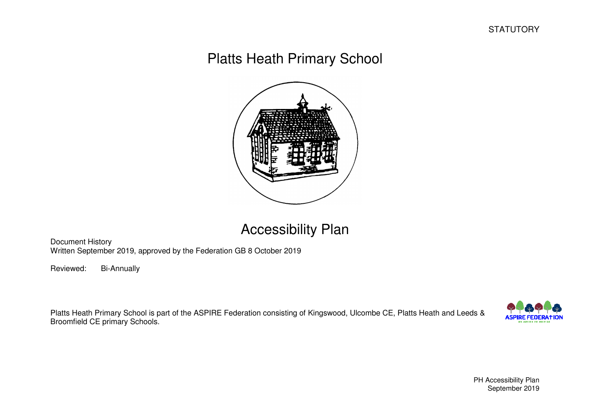# Platts Heath Primary School



## Accessibility Plan

Document History Written September 2019, approved by the Federation GB 8 October 2019

Reviewed: Bi-Annually

Platts Heath Primary School is part of the ASPIRE Federation consisting of Kingswood, Ulcombe CE, Platts Heath and Leeds & Broomfield CE primary Schools.

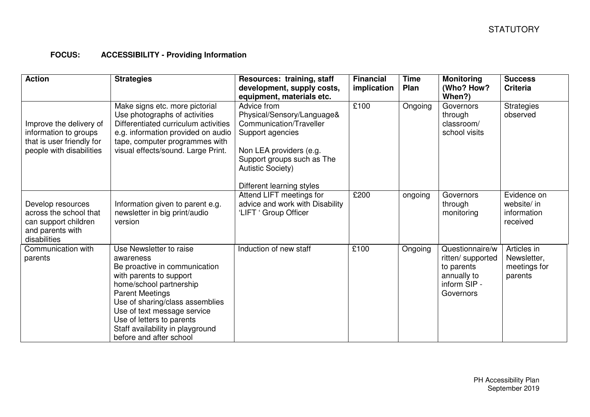#### **FOCUS: ACCESSIBILITY - Providing Information**

| <b>Action</b>                                                                                             | <b>Strategies</b>                                                                                                                                                                                                                                                                                                   | Resources: training, staff<br>development, supply costs,<br>equipment, materials etc.                                                                                                                      | <b>Financial</b><br>implication | <b>Time</b><br>Plan | <b>Monitoring</b><br>(Who? How?<br>When?)                                                      | <b>Success</b><br><b>Criteria</b>                     |
|-----------------------------------------------------------------------------------------------------------|---------------------------------------------------------------------------------------------------------------------------------------------------------------------------------------------------------------------------------------------------------------------------------------------------------------------|------------------------------------------------------------------------------------------------------------------------------------------------------------------------------------------------------------|---------------------------------|---------------------|------------------------------------------------------------------------------------------------|-------------------------------------------------------|
| Improve the delivery of<br>information to groups<br>that is user friendly for<br>people with disabilities | Make signs etc. more pictorial<br>Use photographs of activities<br>Differentiated curriculum activities<br>e.g. information provided on audio<br>tape, computer programmes with<br>visual effects/sound. Large Print.                                                                                               | Advice from<br>Physical/Sensory/Language&<br>Communication/Traveller<br>Support agencies<br>Non LEA providers (e.g.<br>Support groups such as The<br><b>Autistic Society)</b><br>Different learning styles | £100                            | Ongoing             | Governors<br>through<br>classroom/<br>school visits                                            | <b>Strategies</b><br>observed                         |
| Develop resources<br>across the school that<br>can support children<br>and parents with<br>disabilities   | Information given to parent e.g.<br>newsletter in big print/audio<br>version                                                                                                                                                                                                                                        | Attend LIFT meetings for<br>advice and work with Disability<br>'LIFT ' Group Officer                                                                                                                       | £200                            | ongoing             | Governors<br>through<br>monitoring                                                             | Evidence on<br>website/ in<br>information<br>received |
| Communication with<br>parents                                                                             | Use Newsletter to raise<br>awareness<br>Be proactive in communication<br>with parents to support<br>home/school partnership<br><b>Parent Meetings</b><br>Use of sharing/class assemblies<br>Use of text message service<br>Use of letters to parents<br>Staff availability in playground<br>before and after school | Induction of new staff                                                                                                                                                                                     | £100                            | Ongoing             | Questionnaire/w<br>ritten/ supported<br>to parents<br>annually to<br>inform SIP -<br>Governors | Articles in<br>Newsletter,<br>meetings for<br>parents |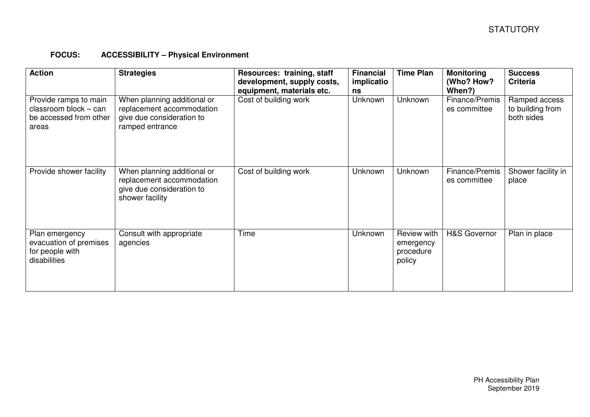#### **FOCUS: ACCESSIBILITY – Physical Environment**

| <b>Action</b>                                                                     | <b>Strategies</b>                                                                                        | Resources: training, staff<br>development, supply costs,<br>equipment, materials etc. | <b>Financial</b><br>implicatio<br>ns | <b>Time Plan</b>                                       | <b>Monitoring</b><br>(Who? How?<br>When?) | <b>Success</b><br><b>Criteria</b>               |
|-----------------------------------------------------------------------------------|----------------------------------------------------------------------------------------------------------|---------------------------------------------------------------------------------------|--------------------------------------|--------------------------------------------------------|-------------------------------------------|-------------------------------------------------|
| Provide ramps to main<br>classroom block - can<br>be accessed from other<br>areas | When planning additional or<br>replacement accommodation<br>give due consideration to<br>ramped entrance | Cost of building work                                                                 | Unknown                              | Unknown                                                | Finance/Premis<br>es committee            | Ramped access<br>to building from<br>both sides |
| Provide shower facility                                                           | When planning additional or<br>replacement accommodation<br>give due consideration to<br>shower facility | Cost of building work                                                                 | Unknown                              | Unknown                                                | Finance/Premis<br>es committee            | Shower facility in<br>place                     |
| Plan emergency<br>evacuation of premises<br>for people with<br>disabilities       | Consult with appropriate<br>agencies                                                                     | Time                                                                                  | Unknown                              | <b>Review with</b><br>emergency<br>procedure<br>policy | <b>H&amp;S Governor</b>                   | Plan in place                                   |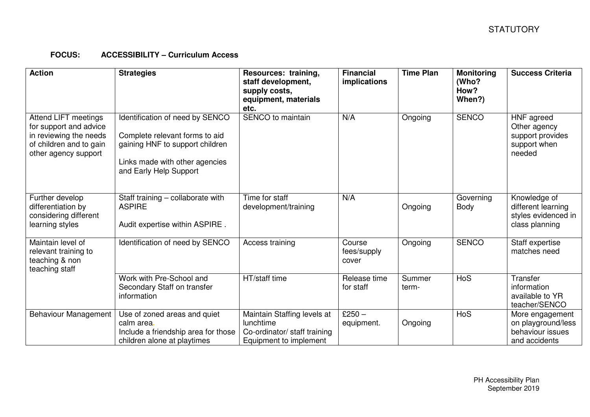### **FOCUS: ACCESSIBILITY – Curriculum Access**

| <b>Action</b>                                                                                                               | <b>Strategies</b>                                                                                                                                                | Resources: training,<br>staff development,<br>supply costs,<br>equipment, materials<br>etc.        | <b>Financial</b><br>implications | <b>Time Plan</b> | <b>Monitoring</b><br>(Who?<br>How?<br>When?) | <b>Success Criteria</b>                                                     |
|-----------------------------------------------------------------------------------------------------------------------------|------------------------------------------------------------------------------------------------------------------------------------------------------------------|----------------------------------------------------------------------------------------------------|----------------------------------|------------------|----------------------------------------------|-----------------------------------------------------------------------------|
| Attend LIFT meetings<br>for support and advice<br>in reviewing the needs<br>of children and to gain<br>other agency support | Identification of need by SENCO<br>Complete relevant forms to aid<br>gaining HNF to support children<br>Links made with other agencies<br>and Early Help Support | SENCO to maintain                                                                                  | N/A                              | Ongoing          | <b>SENCO</b>                                 | HNF agreed<br>Other agency<br>support provides<br>support when<br>needed    |
| Further develop<br>differentiation by<br>considering different<br>learning styles                                           | Staff training - collaborate with<br><b>ASPIRE</b><br>Audit expertise within ASPIRE.                                                                             | Time for staff<br>development/training                                                             | N/A                              | Ongoing          | Governing<br>Body                            | Knowledge of<br>different learning<br>styles evidenced in<br>class planning |
| Maintain level of<br>relevant training to<br>teaching & non<br>teaching staff                                               | Identification of need by SENCO                                                                                                                                  | Access training                                                                                    | Course<br>fees/supply<br>cover   | Ongoing          | <b>SENCO</b>                                 | Staff expertise<br>matches need                                             |
|                                                                                                                             | Work with Pre-School and<br>Secondary Staff on transfer<br>information                                                                                           | HT/staff time                                                                                      | Release time<br>for staff        | Summer<br>term-  | <b>HoS</b>                                   | Transfer<br>information<br>available to YR<br>teacher/SENCO                 |
| Behaviour Management                                                                                                        | Use of zoned areas and quiet<br>calm area.<br>Include a friendship area for those<br>children alone at playtimes                                                 | Maintain Staffing levels at<br>lunchtime<br>Co-ordinator/ staff training<br>Equipment to implement | $£250 -$<br>equipment.           | Ongoing          | HoS                                          | More engagement<br>on playground/less<br>behaviour issues<br>and accidents  |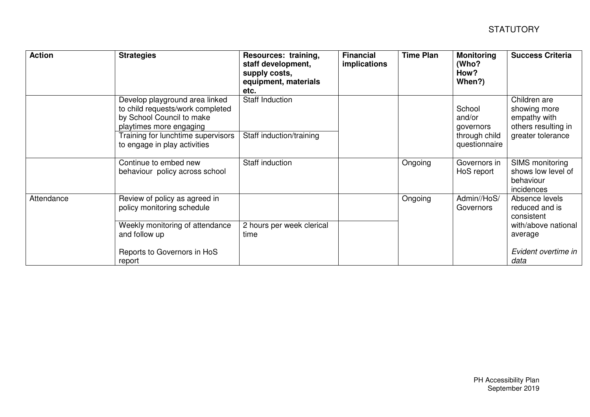| <b>Action</b> | <b>Strategies</b>                                                                                                                                                                                | Resources: training,<br>staff development,<br>supply costs,<br>equipment, materials<br>etc. | <b>Financial</b><br>implications | <b>Time Plan</b> | <b>Monitoring</b><br>(Who?<br>How?<br>When?)                    | <b>Success Criteria</b>                                                                  |
|---------------|--------------------------------------------------------------------------------------------------------------------------------------------------------------------------------------------------|---------------------------------------------------------------------------------------------|----------------------------------|------------------|-----------------------------------------------------------------|------------------------------------------------------------------------------------------|
|               | Develop playground area linked<br>to child requests/work completed<br>by School Council to make<br>playtimes more engaging<br>Training for lunchtime supervisors<br>to engage in play activities | Staff Induction<br>Staff induction/training                                                 |                                  |                  | School<br>and/or<br>governors<br>through child<br>questionnaire | Children are<br>showing more<br>empathy with<br>others resulting in<br>greater tolerance |
|               | Continue to embed new<br>behaviour policy across school                                                                                                                                          | Staff induction                                                                             |                                  | Ongoing          | Governors in<br>HoS report                                      | SIMS monitoring<br>shows low level of<br>behaviour<br>incidences                         |
| Attendance    | Review of policy as agreed in<br>policy monitoring schedule<br>Weekly monitoring of attendance<br>and follow up                                                                                  | 2 hours per week clerical<br>time                                                           |                                  | Ongoing          | Admin//HoS/<br>Governors                                        | Absence levels<br>reduced and is<br>consistent<br>with/above national<br>average         |
|               | Reports to Governors in HoS<br>report                                                                                                                                                            |                                                                                             |                                  |                  |                                                                 | Evident overtime in<br>data                                                              |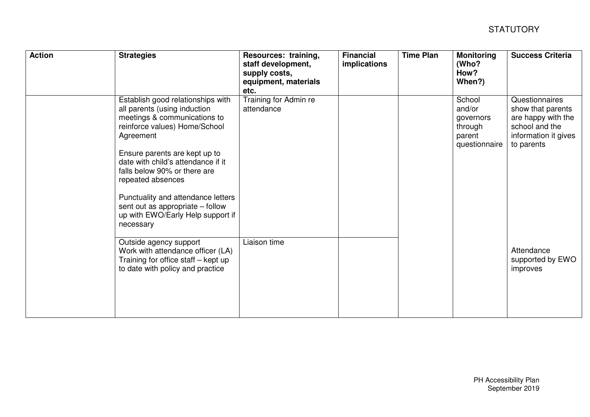| <b>Action</b> | <b>Strategies</b>                                                                                                                                                                                                                                                                                                                                                                                       | Resources: training,<br>staff development,<br>supply costs,<br>equipment, materials<br>etc. | <b>Financial</b><br>implications | <b>Time Plan</b> | <b>Monitoring</b><br>(Who?<br>How?<br>When?)                        | <b>Success Criteria</b>                                                                                           |
|---------------|---------------------------------------------------------------------------------------------------------------------------------------------------------------------------------------------------------------------------------------------------------------------------------------------------------------------------------------------------------------------------------------------------------|---------------------------------------------------------------------------------------------|----------------------------------|------------------|---------------------------------------------------------------------|-------------------------------------------------------------------------------------------------------------------|
|               | Establish good relationships with<br>all parents (using induction<br>meetings & communications to<br>reinforce values) Home/School<br>Agreement<br>Ensure parents are kept up to<br>date with child's attendance if it<br>falls below 90% or there are<br>repeated absences<br>Punctuality and attendance letters<br>sent out as appropriate – follow<br>up with EWO/Early Help support if<br>necessary | Training for Admin re<br>attendance                                                         |                                  |                  | School<br>and/or<br>governors<br>through<br>parent<br>questionnaire | Questionnaires<br>show that parents<br>are happy with the<br>school and the<br>information it gives<br>to parents |
|               | Outside agency support<br>Work with attendance officer (LA)<br>Training for office staff - kept up<br>to date with policy and practice                                                                                                                                                                                                                                                                  | Liaison time                                                                                |                                  |                  |                                                                     | Attendance<br>supported by EWO<br>improves                                                                        |